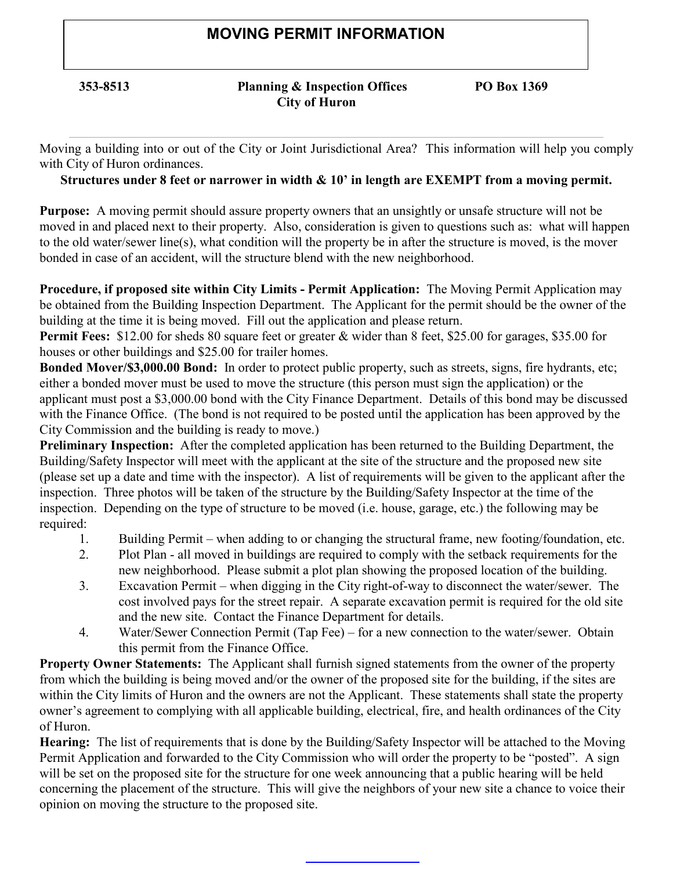# MOVING PERMIT INFORMATION

## 353-8513 Planning & Inspection Offices PO Box 1369 City of Huron

Moving a building into or out of the City or Joint Jurisdictional Area? This information will help you comply with City of Huron ordinances.

# Structures under 8 feet or narrower in width & 10' in length are EXEMPT from a moving permit.

Purpose: A moving permit should assure property owners that an unsightly or unsafe structure will not be moved in and placed next to their property. Also, consideration is given to questions such as: what will happen to the old water/sewer line(s), what condition will the property be in after the structure is moved, is the mover bonded in case of an accident, will the structure blend with the new neighborhood.

Procedure, if proposed site within City Limits - Permit Application: The Moving Permit Application may be obtained from the Building Inspection Department. The Applicant for the permit should be the owner of the building at the time it is being moved. Fill out the application and please return.

Permit Fees: \$12.00 for sheds 80 square feet or greater & wider than 8 feet, \$25.00 for garages, \$35.00 for houses or other buildings and \$25.00 for trailer homes.

Bonded Mover/\$3,000.00 Bond: In order to protect public property, such as streets, signs, fire hydrants, etc; either a bonded mover must be used to move the structure (this person must sign the application) or the applicant must post a \$3,000.00 bond with the City Finance Department. Details of this bond may be discussed with the Finance Office. (The bond is not required to be posted until the application has been approved by the City Commission and the building is ready to move.)

Preliminary Inspection: After the completed application has been returned to the Building Department, the Building/Safety Inspector will meet with the applicant at the site of the structure and the proposed new site (please set up a date and time with the inspector). A list of requirements will be given to the applicant after the inspection. Three photos will be taken of the structure by the Building/Safety Inspector at the time of the inspection. Depending on the type of structure to be moved (i.e. house, garage, etc.) the following may be required:

- 1. Building Permit when adding to or changing the structural frame, new footing/foundation, etc.
- 2. Plot Plan all moved in buildings are required to comply with the setback requirements for the new neighborhood. Please submit a plot plan showing the proposed location of the building.
- 3. Excavation Permit when digging in the City right-of-way to disconnect the water/sewer. The cost involved pays for the street repair. A separate excavation permit is required for the old site and the new site. Contact the Finance Department for details.
- 4. Water/Sewer Connection Permit (Tap Fee) for a new connection to the water/sewer. Obtain this permit from the Finance Office.

Property Owner Statements: The Applicant shall furnish signed statements from the owner of the property from which the building is being moved and/or the owner of the proposed site for the building, if the sites are within the City limits of Huron and the owners are not the Applicant. These statements shall state the property owner's agreement to complying with all applicable building, electrical, fire, and health ordinances of the City of Huron.

Hearing: The list of requirements that is done by the Building/Safety Inspector will be attached to the Moving Permit Application and forwarded to the City Commission who will order the property to be "posted". A sign will be set on the proposed site for the structure for one week announcing that a public hearing will be held concerning the placement of the structure. This will give the neighbors of your new site a chance to voice their opinion on moving the structure to the proposed site.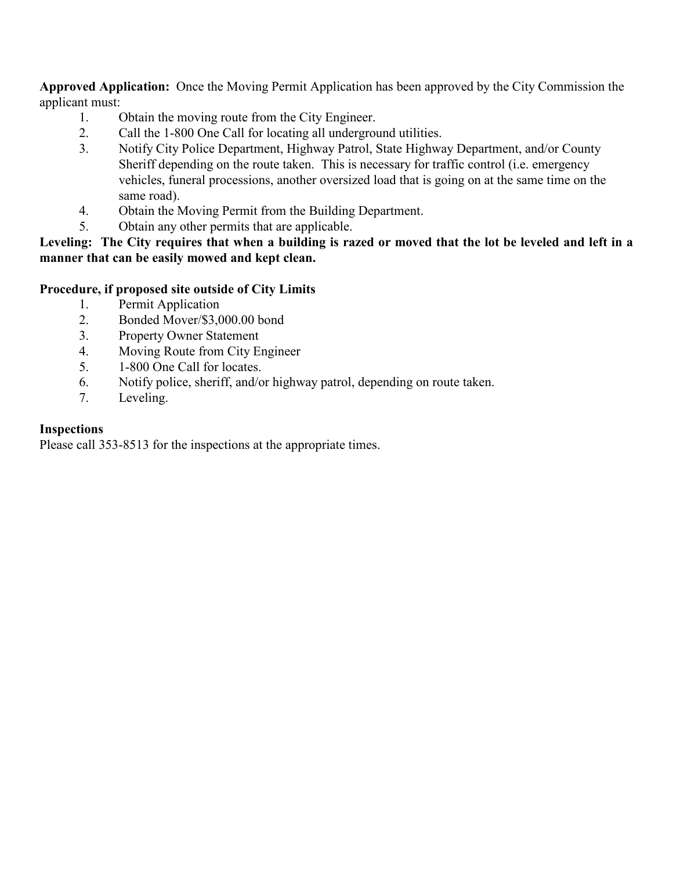Approved Application: Once the Moving Permit Application has been approved by the City Commission the applicant must:

- 1. Obtain the moving route from the City Engineer.
- 2. Call the 1-800 One Call for locating all underground utilities.
- 3. Notify City Police Department, Highway Patrol, State Highway Department, and/or County Sheriff depending on the route taken. This is necessary for traffic control (i.e. emergency vehicles, funeral processions, another oversized load that is going on at the same time on the same road).
- 4. Obtain the Moving Permit from the Building Department.
- 5. Obtain any other permits that are applicable.

## Leveling: The City requires that when a building is razed or moved that the lot be leveled and left in a manner that can be easily mowed and kept clean.

# Procedure, if proposed site outside of City Limits

- 1. Permit Application
- 2. Bonded Mover/\$3,000.00 bond
- 3. Property Owner Statement
- 4. Moving Route from City Engineer
- 5. 1-800 One Call for locates.
- 6. Notify police, sheriff, and/or highway patrol, depending on route taken.
- 7. Leveling.

## Inspections

Please call 353-8513 for the inspections at the appropriate times.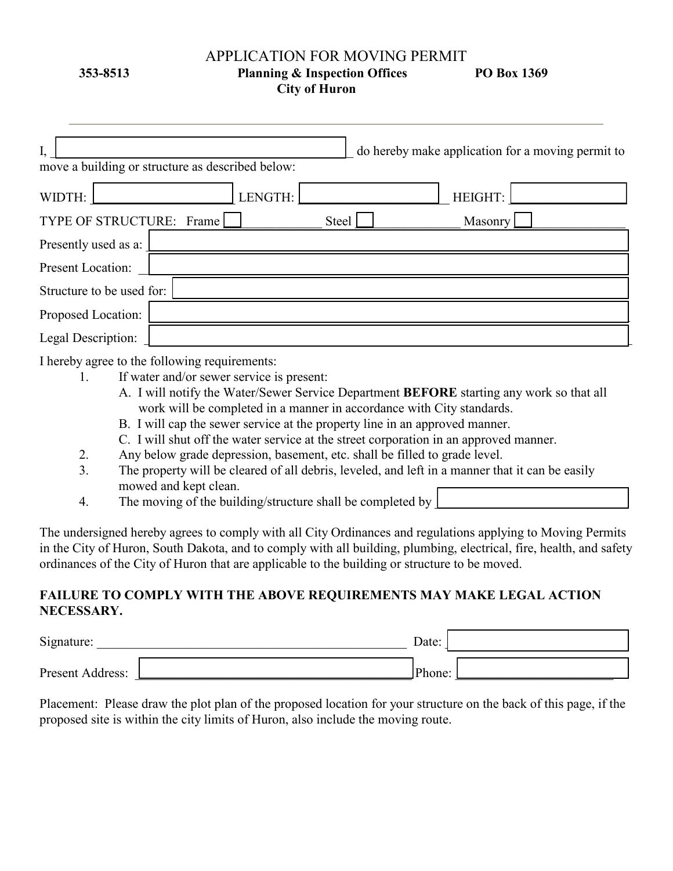#### APPLICATION FOR MOVING PERMIT

353-8513 Planning & Inspection Offices PO Box 1369

City of Huron

| move a building or structure as described below: | do hereby make application for a moving permit to |
|--------------------------------------------------|---------------------------------------------------|
| WIDTH:<br><b>ENGTH:</b>                          | HEIGHT:                                           |
| TYPE OF STRUCTURE: Frame                         | Masonry<br>Steel                                  |
| Presently used as a:                             |                                                   |
| Present Location:                                |                                                   |
| Structure to be used for:                        |                                                   |
| Proposed Location:                               |                                                   |
| Legal Description:                               |                                                   |

I hereby agree to the following requirements:

- 1. If water and/or sewer service is present:
	- A. I will notify the Water/Sewer Service Department BEFORE starting any work so that all work will be completed in a manner in accordance with City standards.
	- B. I will cap the sewer service at the property line in an approved manner.
	- C. I will shut off the water service at the street corporation in an approved manner.
- 2. Any below grade depression, basement, etc. shall be filled to grade level.
- 3. The property will be cleared of all debris, leveled, and left in a manner that it can be easily mowed and kept clean.
- 4. The moving of the building/structure shall be completed by

The undersigned hereby agrees to comply with all City Ordinances and regulations applying to Moving Permits in the City of Huron, South Dakota, and to comply with all building, plumbing, electrical, fire, health, and safety ordinances of the City of Huron that are applicable to the building or structure to be moved.

# FAILURE TO COMPLY WITH THE ABOVE REQUIREMENTS MAY MAKE LEGAL ACTION NECESSARY.

| Signature:       | Date:  |  |
|------------------|--------|--|
| Present Address: | Phone: |  |

Placement: Please draw the plot plan of the proposed location for your structure on the back of this page, if the proposed site is within the city limits of Huron, also include the moving route.